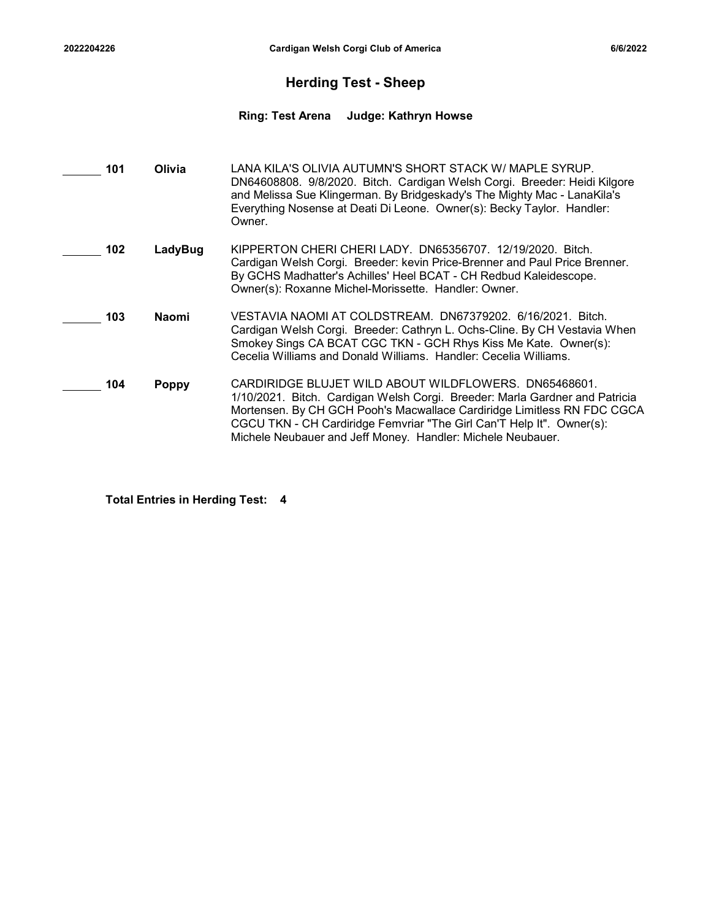### Herding Test - Sheep

# <sup>2022204226</sup> Cardigan Welsh Corgi Club of America 6/6/2022 Ring: Test Arena Judge: Kathryn Howse

| 101 | Olivia       | LANA KILA'S OLIVIA AUTUMN'S SHORT STACK W/ MAPLE SYRUP.<br>DN64608808. 9/8/2020. Bitch. Cardigan Welsh Corgi. Breeder: Heidi Kilgore<br>and Melissa Sue Klingerman. By Bridgeskady's The Mighty Mac - LanaKila's<br>Everything Nosense at Deati Di Leone. Owner(s): Becky Taylor. Handler:<br>Owner.                                                    |
|-----|--------------|---------------------------------------------------------------------------------------------------------------------------------------------------------------------------------------------------------------------------------------------------------------------------------------------------------------------------------------------------------|
| 102 | LadyBug      | KIPPERTON CHERI CHERI LADY. DN65356707. 12/19/2020. Bitch.<br>Cardigan Welsh Corgi. Breeder: kevin Price-Brenner and Paul Price Brenner.<br>By GCHS Madhatter's Achilles' Heel BCAT - CH Redbud Kaleidescope.<br>Owner(s): Roxanne Michel-Morissette. Handler: Owner.                                                                                   |
| 103 | Naomi        | VESTAVIA NAOMI AT COLDSTREAM. DN67379202. 6/16/2021. Bitch.<br>Cardigan Welsh Corgi. Breeder: Cathryn L. Ochs-Cline. By CH Vestavia When<br>Smokey Sings CA BCAT CGC TKN - GCH Rhys Kiss Me Kate. Owner(s):<br>Cecelia Williams and Donald Williams. Handler: Cecelia Williams.                                                                         |
| 104 | <b>Poppy</b> | CARDIRIDGE BLUJET WILD ABOUT WILDFLOWERS. DN65468601.<br>1/10/2021. Bitch. Cardigan Welsh Corgi. Breeder: Marla Gardner and Patricia<br>Mortensen. By CH GCH Pooh's Macwallace Cardiridge Limitless RN FDC CGCA<br>CGCU TKN - CH Cardiridge Femvriar "The Girl Can'T Help It". Owner(s):<br>Michele Neubauer and Jeff Money. Handler: Michele Neubauer. |

Total Entries in Herding Test: 4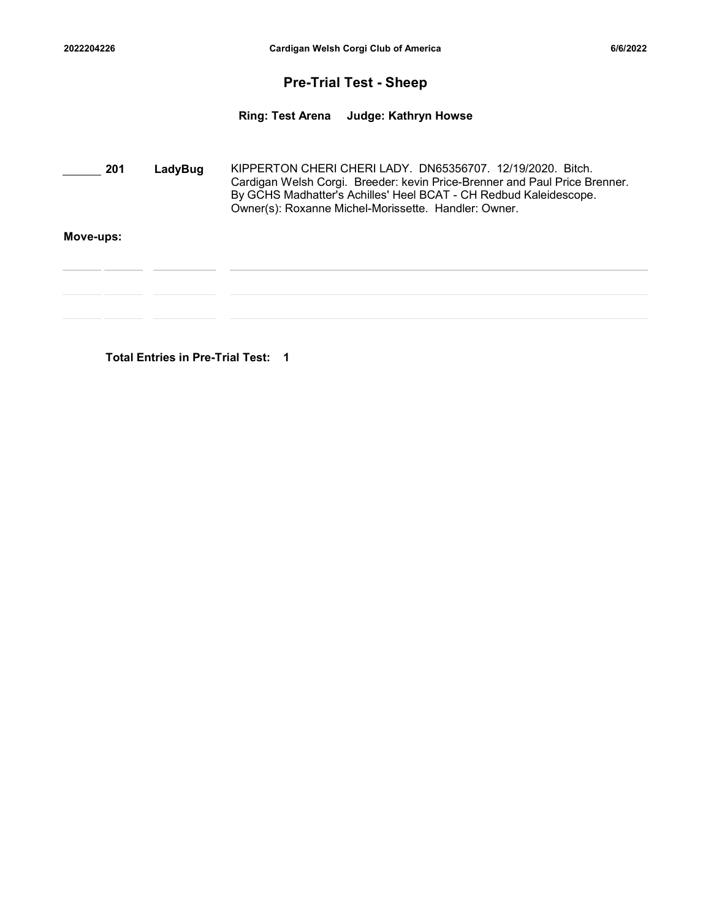### Pre-Trial Test - Sheep

<sup>2022204226</sup> Cardigan Welsh Corgi Club of America 6/6/2022 Ring: Test Arena Judge: Kathryn Howse

| 201       | LadyBug | KIPPERTON CHERI CHERI LADY. DN65356707. 12/19/2020. Bitch.<br>Cardigan Welsh Corgi. Breeder: kevin Price-Brenner and Paul Price Brenner.<br>By GCHS Madhatter's Achilles' Heel BCAT - CH Redbud Kaleidescope.<br>Owner(s): Roxanne Michel-Morissette. Handler: Owner. |  |
|-----------|---------|-----------------------------------------------------------------------------------------------------------------------------------------------------------------------------------------------------------------------------------------------------------------------|--|
| Move-ups: |         |                                                                                                                                                                                                                                                                       |  |
|           |         |                                                                                                                                                                                                                                                                       |  |
|           |         |                                                                                                                                                                                                                                                                       |  |
|           |         |                                                                                                                                                                                                                                                                       |  |

Total Entries in Pre-Trial Test: 1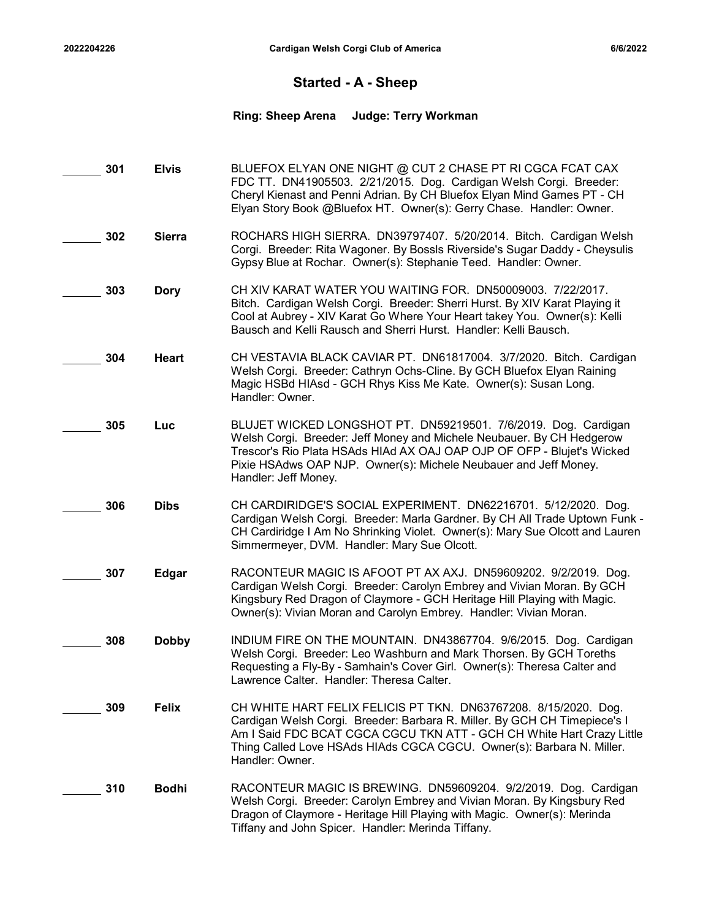### Started - A - Sheep

# 2022204226 Cardigan Welsh Corgi Club of America<br>
Started - A - Sheep<br>
Ring: Sheep Arena Judge: Terry Workman Ring: Sheep Arena Judge: Terry Workman

| 301 | <b>Elvis</b>  | BLUEFOX ELYAN ONE NIGHT @ CUT 2 CHASE PT RI CGCA FCAT CAX<br>FDC TT. DN41905503. 2/21/2015. Dog. Cardigan Welsh Corgi. Breeder:<br>Cheryl Kienast and Penni Adrian. By CH Bluefox Elyan Mind Games PT - CH<br>Elyan Story Book @Bluefox HT. Owner(s): Gerry Chase. Handler: Owner.                                |
|-----|---------------|-------------------------------------------------------------------------------------------------------------------------------------------------------------------------------------------------------------------------------------------------------------------------------------------------------------------|
| 302 | <b>Sierra</b> | ROCHARS HIGH SIERRA. DN39797407. 5/20/2014. Bitch. Cardigan Welsh<br>Corgi. Breeder: Rita Wagoner. By Bossls Riverside's Sugar Daddy - Cheysulis<br>Gypsy Blue at Rochar. Owner(s): Stephanie Teed. Handler: Owner.                                                                                               |
| 303 | <b>Dory</b>   | CH XIV KARAT WATER YOU WAITING FOR. DN50009003. 7/22/2017.<br>Bitch. Cardigan Welsh Corgi. Breeder: Sherri Hurst. By XIV Karat Playing it<br>Cool at Aubrey - XIV Karat Go Where Your Heart takey You. Owner(s): Kelli<br>Bausch and Kelli Rausch and Sherri Hurst. Handler: Kelli Bausch.                        |
| 304 | <b>Heart</b>  | CH VESTAVIA BLACK CAVIAR PT. DN61817004. 3/7/2020. Bitch. Cardigan<br>Welsh Corgi. Breeder: Cathryn Ochs-Cline. By GCH Bluefox Elyan Raining<br>Magic HSBd HIAsd - GCH Rhys Kiss Me Kate. Owner(s): Susan Long.<br>Handler: Owner.                                                                                |
| 305 | Luc           | BLUJET WICKED LONGSHOT PT. DN59219501. 7/6/2019. Dog. Cardigan<br>Welsh Corgi. Breeder: Jeff Money and Michele Neubauer. By CH Hedgerow<br>Trescor's Rio Plata HSAds HIAd AX OAJ OAP OJP OF OFP - Blujet's Wicked<br>Pixie HSAdws OAP NJP. Owner(s): Michele Neubauer and Jeff Money.<br>Handler: Jeff Money.     |
| 306 | <b>Dibs</b>   | CH CARDIRIDGE'S SOCIAL EXPERIMENT. DN62216701. 5/12/2020. Dog.<br>Cardigan Welsh Corgi. Breeder: Marla Gardner. By CH All Trade Uptown Funk -<br>CH Cardiridge I Am No Shrinking Violet. Owner(s): Mary Sue Olcott and Lauren<br>Simmermeyer, DVM. Handler: Mary Sue Olcott.                                      |
| 307 | <b>Edgar</b>  | RACONTEUR MAGIC IS AFOOT PT AX AXJ. DN59609202. 9/2/2019. Dog.<br>Cardigan Welsh Corgi. Breeder: Carolyn Embrey and Vivian Moran. By GCH<br>Kingsbury Red Dragon of Claymore - GCH Heritage Hill Playing with Magic.<br>Owner(s): Vivian Moran and Carolyn Embrey. Handler: Vivian Moran.                         |
| 308 | <b>Dobby</b>  | INDIUM FIRE ON THE MOUNTAIN. DN43867704. 9/6/2015. Dog. Cardigan<br>Welsh Corgi. Breeder: Leo Washburn and Mark Thorsen. By GCH Toreths<br>Requesting a Fly-By - Samhain's Cover Girl. Owner(s): Theresa Calter and<br>Lawrence Calter. Handler: Theresa Calter.                                                  |
| 309 | <b>Felix</b>  | CH WHITE HART FELIX FELICIS PT TKN. DN63767208. 8/15/2020. Dog.<br>Cardigan Welsh Corgi. Breeder: Barbara R. Miller. By GCH CH Timepiece's I<br>Am I Said FDC BCAT CGCA CGCU TKN ATT - GCH CH White Hart Crazy Little<br>Thing Called Love HSAds HIAds CGCA CGCU. Owner(s): Barbara N. Miller.<br>Handler: Owner. |
| 310 | <b>Bodhi</b>  | RACONTEUR MAGIC IS BREWING. DN59609204. 9/2/2019. Dog. Cardigan<br>Welsh Corgi. Breeder: Carolyn Embrey and Vivian Moran. By Kingsbury Red<br>Dragon of Claymore - Heritage Hill Playing with Magic. Owner(s): Merinda<br>Tiffany and John Spicer. Handler: Merinda Tiffany.                                      |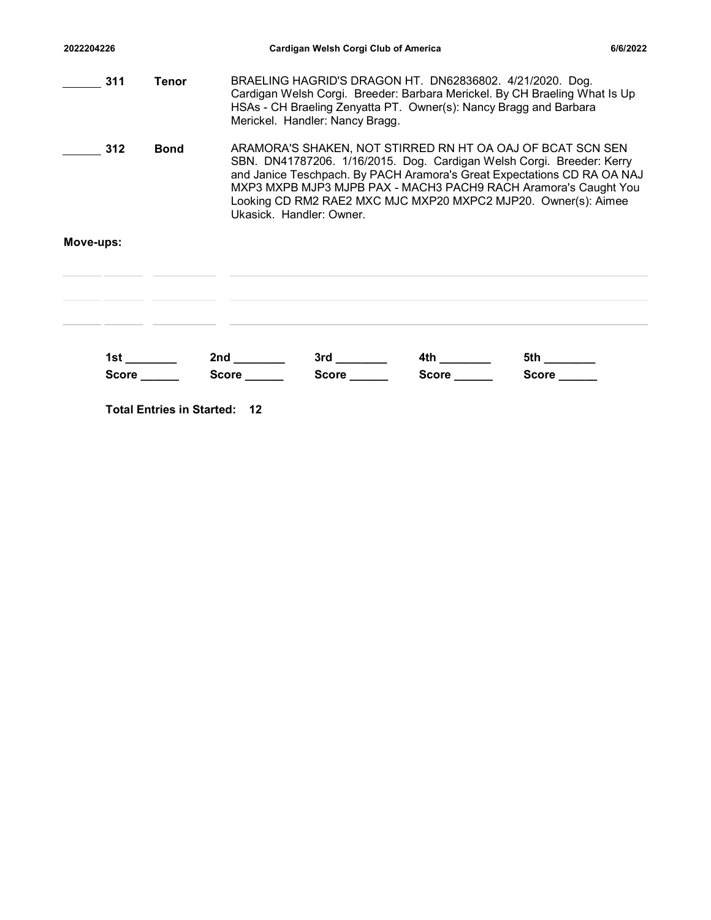| 2022204226 |              | Cardigan Welsh Corgi Club of America                                                                                                                                                                                                                                                                                                                                            | 6/6/2022 |  |  |
|------------|--------------|---------------------------------------------------------------------------------------------------------------------------------------------------------------------------------------------------------------------------------------------------------------------------------------------------------------------------------------------------------------------------------|----------|--|--|
| 311        | <b>Tenor</b> | BRAELING HAGRID'S DRAGON HT. DN62836802. 4/21/2020. Dog.<br>Cardigan Welsh Corgi. Breeder: Barbara Merickel. By CH Braeling What Is Up<br>HSAs - CH Braeling Zenyatta PT. Owner(s): Nancy Bragg and Barbara<br>Merickel. Handler: Nancy Bragg.                                                                                                                                  |          |  |  |
| 312        | <b>Bond</b>  | ARAMORA'S SHAKEN, NOT STIRRED RN HT OA OAJ OF BCAT SCN SEN<br>SBN. DN41787206. 1/16/2015. Dog. Cardigan Welsh Corgi. Breeder: Kerry<br>and Janice Teschpach. By PACH Aramora's Great Expectations CD RA OA NAJ<br>MXP3 MXPB MJP3 MJPB PAX - MACH3 PACH9 RACH Aramora's Caught You<br>Looking CD RM2 RAE2 MXC MJC MXP20 MXPC2 MJP20. Owner(s): Aimee<br>Ukasick. Handler: Owner. |          |  |  |
| Move-ups:  |              |                                                                                                                                                                                                                                                                                                                                                                                 |          |  |  |
|            |              |                                                                                                                                                                                                                                                                                                                                                                                 |          |  |  |
|            |              |                                                                                                                                                                                                                                                                                                                                                                                 |          |  |  |
|            |              |                                                                                                                                                                                                                                                                                                                                                                                 |          |  |  |

Total Entries in Started: 12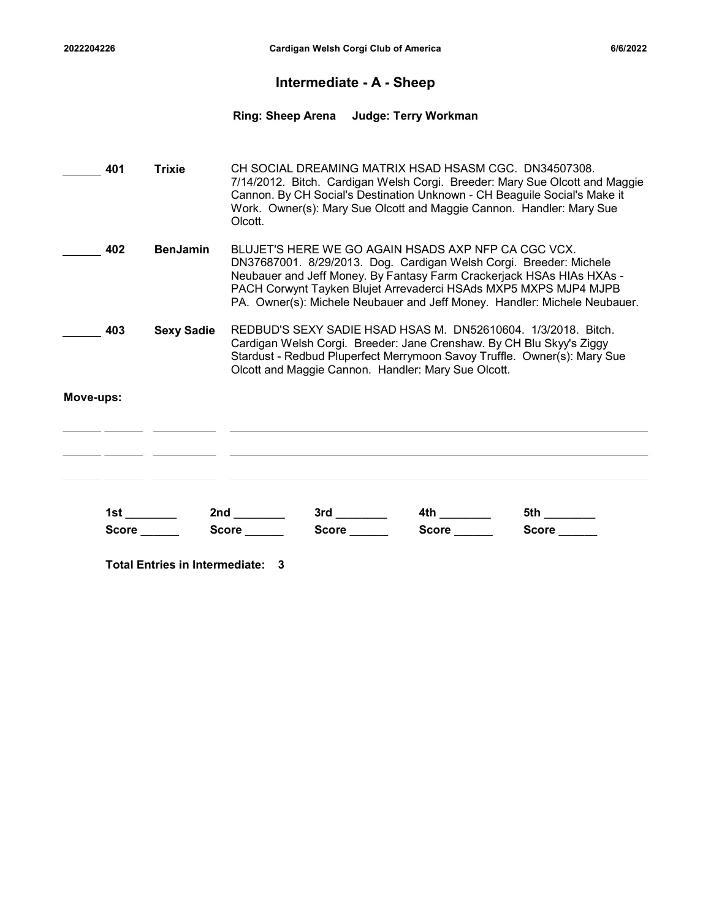### Intermediate - A - Sheep

# 2022204226 Cardigan Welsh Corgi Club of America<br>
Intermediate - A - Sheep<br>
Ring: Sheep Arena Judge: Terry Workman Ring: Sheep Arena Judge: Terry Workman

| 401       | <b>Trixie</b>                    | CH SOCIAL DREAMING MATRIX HSAD HSASM CGC. DN34507308.<br>7/14/2012. Bitch. Cardigan Welsh Corgi. Breeder: Mary Sue Olcott and Maggie<br>Cannon. By CH Social's Destination Unknown - CH Beaguile Social's Make it<br>Work. Owner(s): Mary Sue Olcott and Maggie Cannon. Handler: Mary Sue<br>Olcott.                                                |                                                |                    |                    |  |
|-----------|----------------------------------|-----------------------------------------------------------------------------------------------------------------------------------------------------------------------------------------------------------------------------------------------------------------------------------------------------------------------------------------------------|------------------------------------------------|--------------------|--------------------|--|
| 402       | <b>BenJamin</b>                  | BLUJET'S HERE WE GO AGAIN HSADS AXP NFP CA CGC VCX.<br>DN37687001. 8/29/2013. Dog. Cardigan Welsh Corgi. Breeder: Michele<br>Neubauer and Jeff Money. By Fantasy Farm Crackerjack HSAs HIAs HXAs -<br>PACH Corwynt Tayken Blujet Arrevaderci HSAds MXP5 MXPS MJP4 MJPB<br>PA. Owner(s): Michele Neubauer and Jeff Money. Handler: Michele Neubauer. |                                                |                    |                    |  |
| 403       | <b>Sexy Sadie</b>                | REDBUD'S SEXY SADIE HSAD HSAS M. DN52610604. 1/3/2018. Bitch.<br>Cardigan Welsh Corgi. Breeder: Jane Crenshaw. By CH Blu Skyy's Ziggy<br>Stardust - Redbud Pluperfect Merrymoon Savoy Truffle. Owner(s): Mary Sue<br>Olcott and Maggie Cannon. Handler: Mary Sue Olcott.                                                                            |                                                |                    |                    |  |
| Move-ups: |                                  |                                                                                                                                                                                                                                                                                                                                                     |                                                |                    |                    |  |
|           | Score                            | <b>Score Score</b>                                                                                                                                                                                                                                                                                                                                  | $3rd \underline{\hspace{2cm}}$<br>Score ______ | <b>Score Score</b> | <b>Score Score</b> |  |
|           | Total Entries in Intermediate: 3 |                                                                                                                                                                                                                                                                                                                                                     |                                                |                    |                    |  |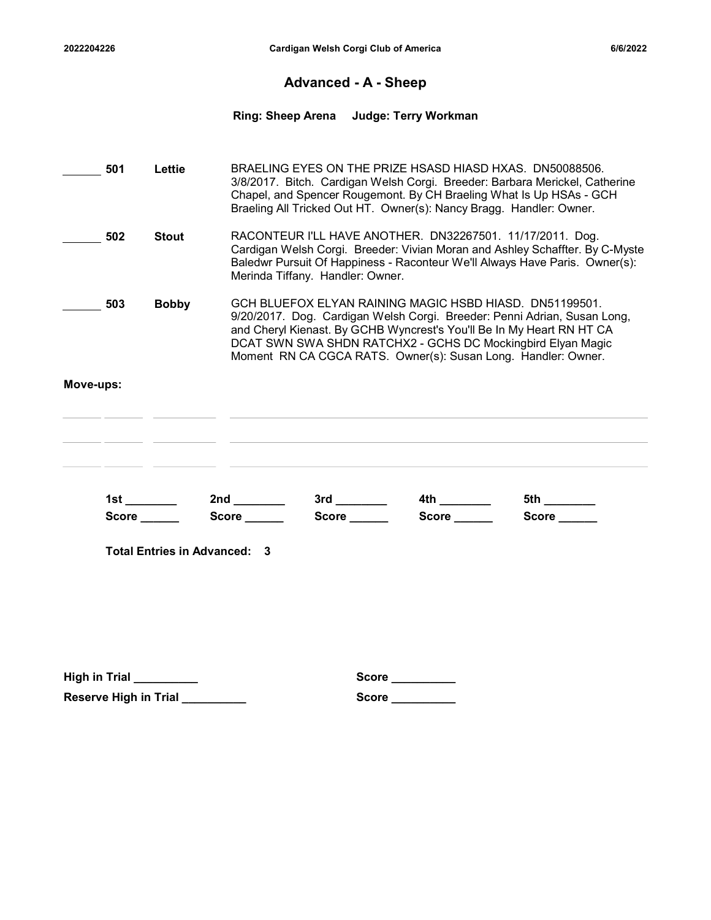### Advanced - A - Sheep

# 2022204226 Cardigan Welsh Corgi Club of America<br>Advanced - A - Sheep<br>Ring: Sheep Arena Judge: Terry Workman Ring: Sheep Arena Judge: Terry Workman

|                      | 501          | Lettie                          |                                                     | BRAELING EYES ON THE PRIZE HSASD HIASD HXAS. DN50088506.<br>3/8/2017. Bitch. Cardigan Welsh Corgi. Breeder: Barbara Merickel, Catherine<br>Chapel, and Spencer Rougemont. By CH Braeling What Is Up HSAs - GCH<br>Braeling All Tricked Out HT. Owner(s): Nancy Bragg. Handler: Owner.                                                        |                 |                                                                                                                                                                                                                          |  |  |  |  |  |
|----------------------|--------------|---------------------------------|-----------------------------------------------------|----------------------------------------------------------------------------------------------------------------------------------------------------------------------------------------------------------------------------------------------------------------------------------------------------------------------------------------------|-----------------|--------------------------------------------------------------------------------------------------------------------------------------------------------------------------------------------------------------------------|--|--|--|--|--|
|                      | 502          | <b>Stout</b>                    |                                                     | Merinda Tiffany. Handler: Owner.                                                                                                                                                                                                                                                                                                             |                 | RACONTEUR I'LL HAVE ANOTHER. DN32267501. 11/17/2011. Dog.<br>Cardigan Welsh Corgi. Breeder: Vivian Moran and Ashley Schaffter. By C-Myste<br>Baledwr Pursuit Of Happiness - Raconteur We'll Always Have Paris. Owner(s): |  |  |  |  |  |
|                      | 503          | <b>Bobby</b>                    |                                                     | GCH BLUEFOX ELYAN RAINING MAGIC HSBD HIASD. DN51199501.<br>9/20/2017. Dog. Cardigan Welsh Corgi. Breeder: Penni Adrian, Susan Long,<br>and Cheryl Kienast. By GCHB Wyncrest's You'll Be In My Heart RN HT CA<br>DCAT SWN SWA SHDN RATCHX2 - GCHS DC Mockingbird Elyan Magic<br>Moment RN CA CGCA RATS. Owner(s): Susan Long. Handler: Owner. |                 |                                                                                                                                                                                                                          |  |  |  |  |  |
| Move-ups:            |              |                                 |                                                     |                                                                                                                                                                                                                                                                                                                                              |                 |                                                                                                                                                                                                                          |  |  |  |  |  |
|                      |              |                                 |                                                     |                                                                                                                                                                                                                                                                                                                                              |                 | 5th ________                                                                                                                                                                                                             |  |  |  |  |  |
|                      | Score ______ |                                 | Score ______<br><b>Total Entries in Advanced: 3</b> | Score ______                                                                                                                                                                                                                                                                                                                                 | Score _____     | Score _____                                                                                                                                                                                                              |  |  |  |  |  |
|                      |              |                                 |                                                     |                                                                                                                                                                                                                                                                                                                                              |                 |                                                                                                                                                                                                                          |  |  |  |  |  |
| <b>High in Trial</b> |              |                                 |                                                     | <b>Score</b>                                                                                                                                                                                                                                                                                                                                 |                 |                                                                                                                                                                                                                          |  |  |  |  |  |
|                      |              | Reserve High in Trial _________ |                                                     |                                                                                                                                                                                                                                                                                                                                              | Score _________ |                                                                                                                                                                                                                          |  |  |  |  |  |
|                      |              |                                 |                                                     |                                                                                                                                                                                                                                                                                                                                              |                 |                                                                                                                                                                                                                          |  |  |  |  |  |

| Score |  |  |  |
|-------|--|--|--|
|       |  |  |  |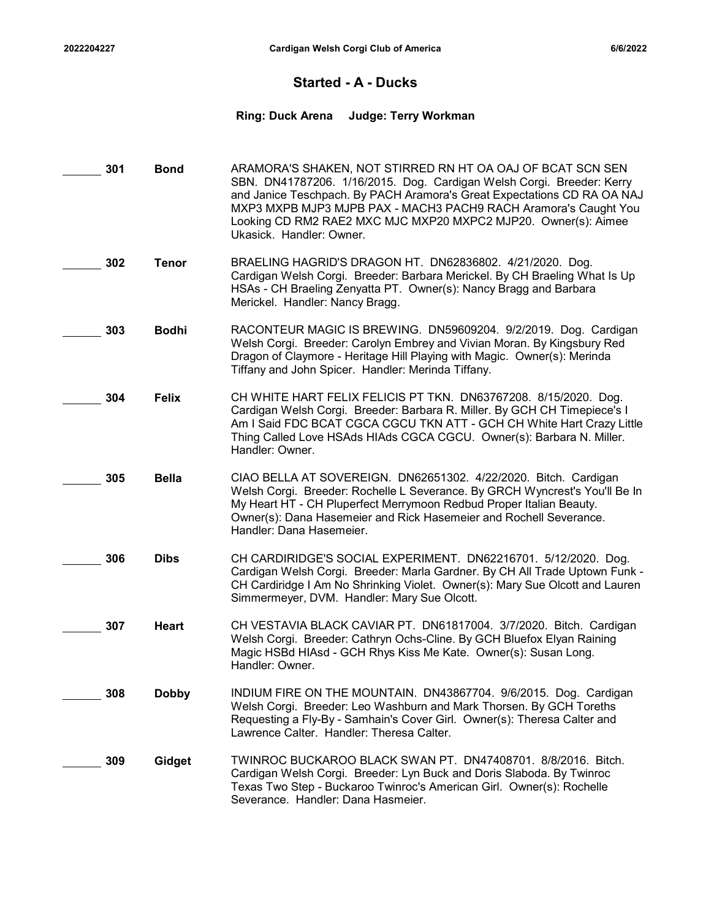### Started - A - Ducks

# 2022204227 Cardigan Welsh Corgi Club of America<br>Started - A - Ducks<br>Ring: Duck Arena Judge: Terry Workman Ring: Duck Arena Judge: Terry Workman

| 301 | <b>Bond</b>  | ARAMORA'S SHAKEN, NOT STIRRED RN HT OA OAJ OF BCAT SCN SEN<br>SBN. DN41787206. 1/16/2015. Dog. Cardigan Welsh Corgi. Breeder: Kerry<br>and Janice Teschpach. By PACH Aramora's Great Expectations CD RA OA NAJ<br>MXP3 MXPB MJP3 MJPB PAX - MACH3 PACH9 RACH Aramora's Caught You<br>Looking CD RM2 RAE2 MXC MJC MXP20 MXPC2 MJP20. Owner(s): Aimee<br>Ukasick. Handler: Owner. |
|-----|--------------|---------------------------------------------------------------------------------------------------------------------------------------------------------------------------------------------------------------------------------------------------------------------------------------------------------------------------------------------------------------------------------|
| 302 | <b>Tenor</b> | BRAELING HAGRID'S DRAGON HT. DN62836802. 4/21/2020. Dog.<br>Cardigan Welsh Corgi. Breeder: Barbara Merickel. By CH Braeling What Is Up<br>HSAs - CH Braeling Zenyatta PT. Owner(s): Nancy Bragg and Barbara<br>Merickel. Handler: Nancy Bragg.                                                                                                                                  |
| 303 | <b>Bodhi</b> | RACONTEUR MAGIC IS BREWING. DN59609204. 9/2/2019. Dog. Cardigan<br>Welsh Corgi. Breeder: Carolyn Embrey and Vivian Moran. By Kingsbury Red<br>Dragon of Claymore - Heritage Hill Playing with Magic. Owner(s): Merinda<br>Tiffany and John Spicer. Handler: Merinda Tiffany.                                                                                                    |
| 304 | <b>Felix</b> | CH WHITE HART FELIX FELICIS PT TKN. DN63767208. 8/15/2020. Dog.<br>Cardigan Welsh Corgi. Breeder: Barbara R. Miller. By GCH CH Timepiece's I<br>Am I Said FDC BCAT CGCA CGCU TKN ATT - GCH CH White Hart Crazy Little<br>Thing Called Love HSAds HIAds CGCA CGCU. Owner(s): Barbara N. Miller.<br>Handler: Owner.                                                               |
| 305 | <b>Bella</b> | CIAO BELLA AT SOVEREIGN. DN62651302. 4/22/2020. Bitch. Cardigan<br>Welsh Corgi. Breeder: Rochelle L Severance. By GRCH Wyncrest's You'll Be In<br>My Heart HT - CH Pluperfect Merrymoon Redbud Proper Italian Beauty.<br>Owner(s): Dana Hasemeier and Rick Hasemeier and Rochell Severance.<br>Handler: Dana Hasemeier.                                                         |
| 306 | <b>Dibs</b>  | CH CARDIRIDGE'S SOCIAL EXPERIMENT. DN62216701. 5/12/2020. Dog.<br>Cardigan Welsh Corgi. Breeder: Marla Gardner. By CH All Trade Uptown Funk -<br>CH Cardiridge I Am No Shrinking Violet. Owner(s): Mary Sue Olcott and Lauren<br>Simmermeyer, DVM. Handler: Mary Sue Olcott.                                                                                                    |
| 307 | Heart        | CH VESTAVIA BLACK CAVIAR PT. DN61817004. 3/7/2020. Bitch. Cardigan<br>Welsh Corgi. Breeder: Cathryn Ochs-Cline. By GCH Bluefox Elyan Raining<br>Magic HSBd HIAsd - GCH Rhys Kiss Me Kate. Owner(s): Susan Long.<br>Handler: Owner.                                                                                                                                              |
| 308 | <b>Dobby</b> | INDIUM FIRE ON THE MOUNTAIN. DN43867704. 9/6/2015. Dog. Cardigan<br>Welsh Corgi. Breeder: Leo Washburn and Mark Thorsen. By GCH Toreths<br>Requesting a Fly-By - Samhain's Cover Girl. Owner(s): Theresa Calter and<br>Lawrence Calter. Handler: Theresa Calter.                                                                                                                |
| 309 | Gidget       | TWINROC BUCKAROO BLACK SWAN PT. DN47408701. 8/8/2016. Bitch.<br>Cardigan Welsh Corgi. Breeder: Lyn Buck and Doris Slaboda. By Twinroc<br>Texas Two Step - Buckaroo Twinroc's American Girl. Owner(s): Rochelle<br>Severance. Handler: Dana Hasmeier.                                                                                                                            |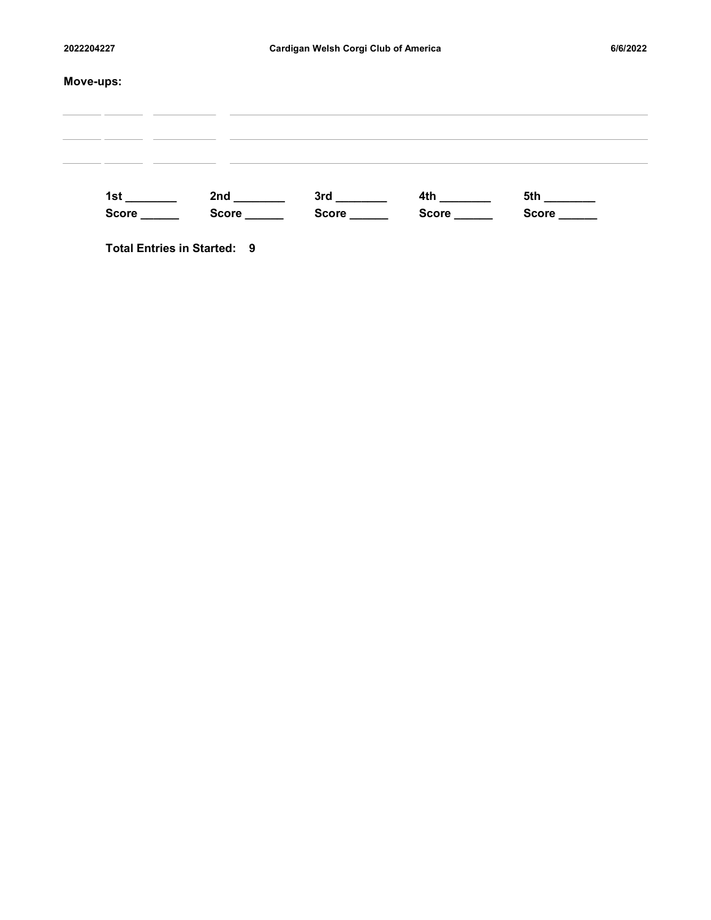| 2022204227                   | Cardigan Welsh Corgi Club of America |                                                         | 6/6/2022 |
|------------------------------|--------------------------------------|---------------------------------------------------------|----------|
| Move-ups:                    |                                      |                                                         |          |
|                              |                                      |                                                         |          |
|                              |                                      |                                                         |          |
|                              |                                      |                                                         |          |
| 1st ________<br>Score ______ |                                      | Score ________ Score _______ Score _______ Score ______ |          |
|                              |                                      |                                                         |          |

Total Entries in Started: 9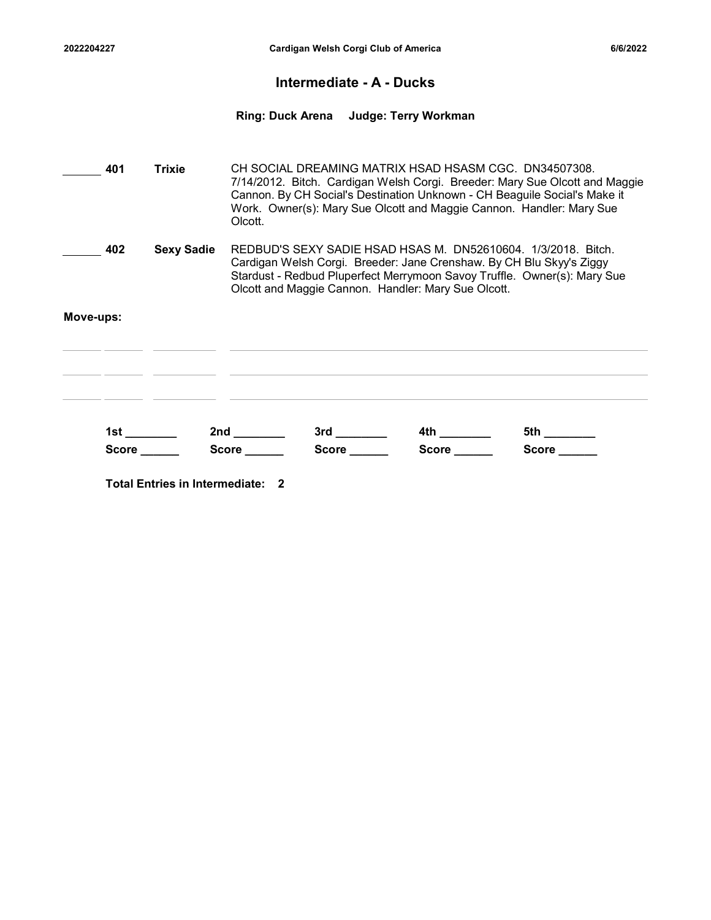### Intermediate - A - Ducks

# 2022204227 Cardigan Welsh Corgi Club of America<br>Intermediate - A - Ducks<br>Ring: Duck Arena Judge: Terry Workman Ring: Duck Arena Judge: Terry Workman

CH SOCIAL DREAMING MATRIX HSAD HSASM CGC. DN34507308. 401 Trixie 7/14/2012. Bitch. Cardigan Welsh Corgi. Breeder: Mary Sue Olcott and Maggie Cannon. By CH Social's Destination Unknown - CH Beaguile Social's Make it Work. Owner(s): Mary Sue Olcott and Maggie Cannon. Handler: Mary Sue Olcott. **402 Sexy Sadie** REDBUD'S SEXY SADIE HSAD HSAS M. DN52610604. 1/3/2018. Bitch. Cardigan Welsh Corgi. Breeder: Jane Crenshaw. By CH Blu Skyy's Ziggy Stardust - Redbud Pluperfect Merrymoon Savoy Truffle. Owner(s): Mary Sue

Olcott and Maggie Cannon. Handler: Mary Sue Olcott.

### Move-ups:

5th \_\_\_\_\_\_\_\_

| 1s    | 2nd   | י יי  | 4th        | $ -$<br>◡ |
|-------|-------|-------|------------|-----------|
| Score | Score | Score | .corc<br>. | Score     |

Total Entries in Intermediate: 2